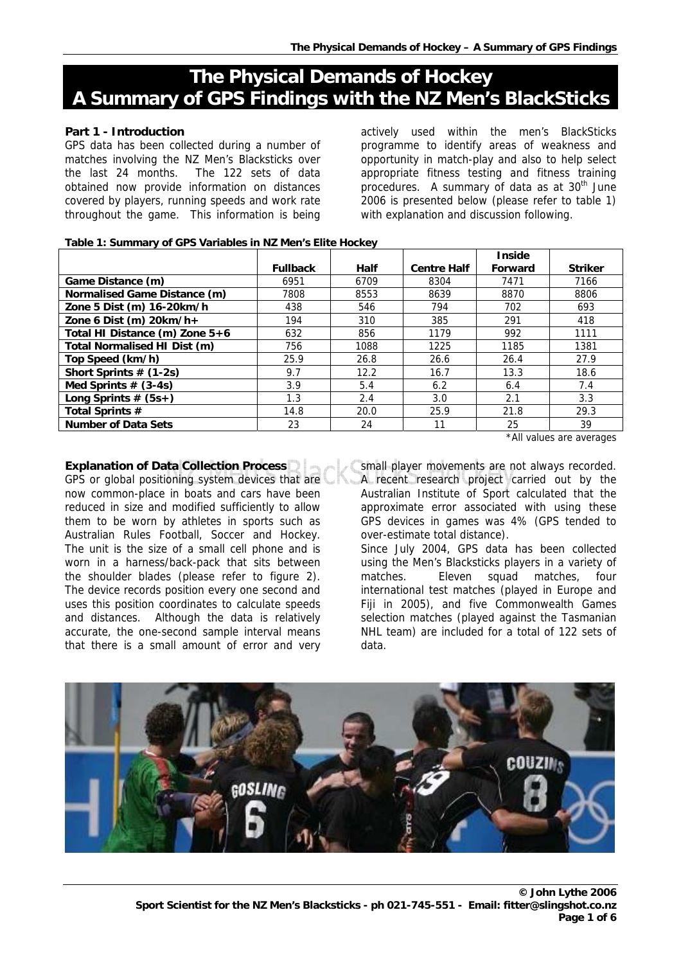# **The Physical Demands of Hockey A Summary of GPS Findings with the NZ Men's BlackSticks**

# **Part 1 - Introduction**

GPS data has been collected during a number of matches involving the NZ Men's Blacksticks over the last 24 months. The 122 sets of data obtained now provide information on distances covered by players, running speeds and work rate throughout the game. This information is being

actively used within the men's BlackSticks programme to identify areas of weakness and opportunity in match-play and also to help select appropriate fitness testing and fitness training procedures. A summary of data as at 30<sup>th</sup> June 2006 is presented below (please refer to table 1) with explanation and discussion following.

#### **Table 1: Summary of GPS Variables in NZ Men's Elite Hockey**

|                                |                 |             |                    | <b>Inside</b> |                |
|--------------------------------|-----------------|-------------|--------------------|---------------|----------------|
|                                | <b>Fullback</b> | <b>Half</b> | <b>Centre Half</b> | Forward       | <b>Striker</b> |
| Game Distance (m)              | 6951            | 6709        | 8304               | 7471          | 7166           |
| Normalised Game Distance (m)   | 7808            | 8553        | 8639               | 8870          | 8806           |
| Zone 5 Dist (m) 16-20km/h      | 438             | 546         | 794                | 702           | 693            |
| Zone 6 Dist (m) $20km/h+$      | 194             | 310         | 385                | 291           | 418            |
| Total HI Distance (m) Zone 5+6 | 632             | 856         | 1179               | 992           | 1111           |
| Total Normalised HI Dist (m)   | 756             | 1088        | 1225               | 1185          | 1381           |
| Top Speed (km/h)               | 25.9            | 26.8        | 26.6               | 26.4          | 27.9           |
| Short Sprints $# (1-2s)$       | 9.7             | 12.2        | 16.7               | 13.3          | 18.6           |
| Med Sprints $# (3-4s)$         | 3.9             | 5.4         | 6.2                | 6.4           | 7.4            |
| Long Sprints $# (5s+)$         | 1.3             | 2.4         | 3.0                | 2.1           | 3.3            |
| Total Sprints #                | 14.8            | 20.0        | 25.9               | 21.8          | 29.3           |
| <b>Number of Data Sets</b>     | 23              | 24          | 11                 | 25            | 39             |

\*All values are averages

# **Explanation of Data Collection Process**

GPS or global positioning system devices that are now common-place in boats and cars have been reduced in size and modified sufficiently to allow them to be worn by athletes in sports such as Australian Rules Football, Soccer and Hockey. The unit is the size of a small cell phone and is worn in a harness/back-pack that sits between the shoulder blades (please refer to figure 2). The device records position every one second and uses this position coordinates to calculate speeds and distances. Although the data is relatively accurate, the one-second sample interval means that there is a small amount of error and very

small player movements are not always recorded. A recent research project carried out by the Australian Institute of Sport calculated that the approximate error associated with using these

GPS devices in games was 4% (GPS tended to over-estimate total distance). Since July 2004, GPS data has been collected using the Men's Blacksticks players in a variety of matches. Eleven squad matches, four international test matches (played in Europe and Fiji in 2005), and five Commonwealth Games selection matches (played against the Tasmanian NHL team) are included for a total of 122 sets of data.

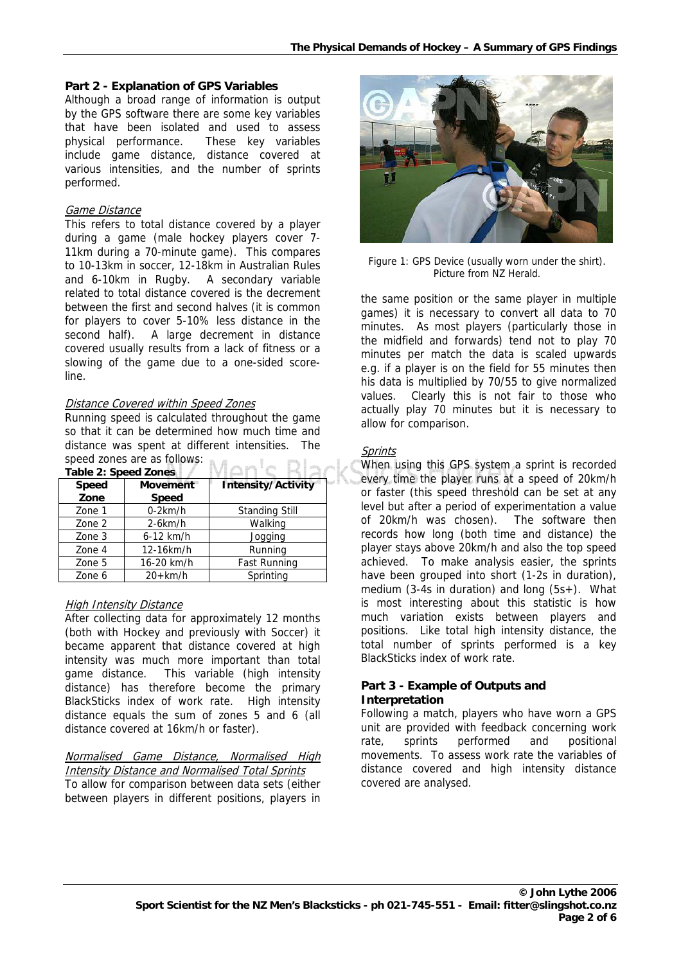#### **Part 2 - Explanation of GPS Variables**

Although a broad range of information is output by the GPS software there are some key variables that have been isolated and used to assess physical performance. These key variables include game distance, distance covered at various intensities, and the number of sprints performed.

#### Game Distance

This refers to total distance covered by a player during a game (male hockey players cover 7- 11km during a 70-minute game). This compares to 10-13km in soccer, 12-18km in Australian Rules and 6-10km in Rugby. A secondary variable related to total distance covered is the decrement between the first and second halves (it is common for players to cover 5-10% less distance in the second half). A large decrement in distance covered usually results from a lack of fitness or a slowing of the game due to a one-sided scoreline.

# Distance Covered within Speed Zones

Running speed is calculated throughout the game so that it can be determined how much time and distance was spent at different intensities. The speed zones are as follows:  $\mathbb{R}^m$  .

| <b>Table 2: Speed Zones</b> |                 |                           |  |  |
|-----------------------------|-----------------|---------------------------|--|--|
| <b>Speed</b>                | <b>Movement</b> | <b>Intensity/Activity</b> |  |  |
| Zone                        | <b>Speed</b>    |                           |  |  |
| Zone 1                      | $0-2km/h$       | <b>Standing Still</b>     |  |  |
| Zone 2                      | $2-6km/h$       | Walking                   |  |  |
| Zone 3                      | $6-12$ km/h     | Jogging                   |  |  |
| Zone 4                      | 12-16km/h       | Running                   |  |  |
| Zone 5                      | 16-20 km/h      | Fast Running              |  |  |
| Zone 6                      | $20+km/h$       | Sprinting                 |  |  |

# High Intensity Distance

After collecting data for approximately 12 months (both with Hockey and previously with Soccer) it became apparent that distance covered at high intensity was much more important than total game distance. This variable (high intensity distance) has therefore become the primary BlackSticks index of work rate. High intensity distance equals the sum of zones 5 and 6 (all distance covered at 16km/h or faster).

# <u>Normalised Game Distance, Normalised High</u> Intensity Distance and Normalised Total Sprints

To allow for comparison between data sets (either between players in different positions, players in



Fig ure 1: GPS Device (usually worn under the shirt ). Picture from NZ Herald.

the same position or the same player in multiple games) it is necessary to convert all data to 70 minutes. As most players (particularly those in the midfield and forwards) tend not to play 70 minutes per match the data is scaled upwards e.g. if a player is on the field for 55 minutes then his data is multiplied by 70/55 to give normalized values. Clearly this is not fair to those who actually play 70 minutes but it is necessary to allow for comparison.

#### **Sprints**

When using this GPS system a sprint is recorded every time the player runs at a speed of 20km/h or faster (this speed threshold can be set at any level but after a period of experimentation a value of 20km/h was chosen). The software then records how long (both time and distance) the player stays above 20km/h and also the top speed achieved. To make analysis easier, the sprints have been grouped into short (1-2s in duration), medium (3-4s in duration) and long (5s+). What is most interesting about this statistic is how much variation exists between players and positions. Like total high intensity distance, the total number of sprints performed is a key BlackSticks index of work rate.

### **Part 3 - Example of Outputs and Interpretation**

Following a match, players who have worn a GPS unit are provided with feedback concerning work rate, sprints performed and positional movements. To assess work rate the variables of distance covered and high intensity distance covered are analysed.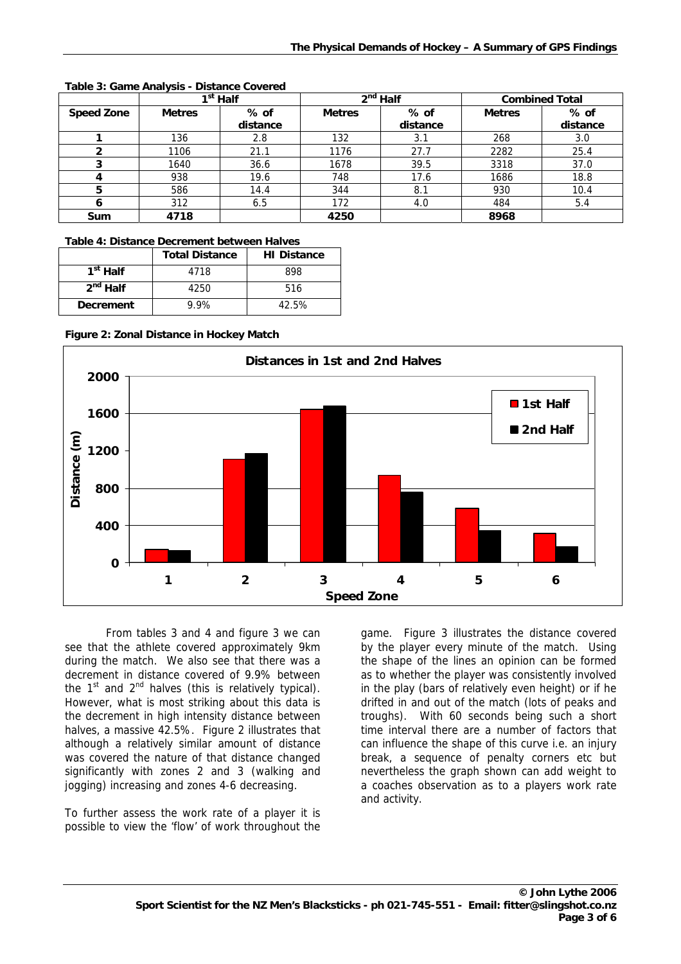|                   |               | 1 <sup>st</sup> Half |               | $2nd$ Half |               | <b>Combined Total</b> |
|-------------------|---------------|----------------------|---------------|------------|---------------|-----------------------|
| <b>Speed Zone</b> | <b>Metres</b> | % of                 | <b>Metres</b> | $%$ of     | <b>Metres</b> | $%$ of                |
|                   |               | distance             |               | distance   |               | distance              |
|                   | 136           | 2.8                  | 132           | 3.1        | 268           | 3.0                   |
|                   | 1106          | 21.1                 | 1176          | 27.7       | 2282          | 25.4                  |
|                   | 1640          | 36.6                 | 1678          | 39.5       | 3318          | 37.0                  |
|                   | 938           | 19.6                 | 748           | 17.6       | 1686          | 18.8                  |
| 5                 | 586           | 14.4                 | 344           | 8.1        | 930           | 10.4                  |
| o                 | 312           | 6.5                  | 172           | 4.0        | 484           | 5.4                   |
| <b>Sum</b>        | 4718          |                      | 4250          |            | 8968          |                       |

#### **Table 3: Game Analysis - Distance Covered**

# **Table 4: Distance Decrement between Halves**

|                      | <b>Total Distance</b> | <b>HI Distance</b> |
|----------------------|-----------------------|--------------------|
| 1 <sup>st</sup> Half | 4718                  | 898                |
| 2 <sup>nd</sup> Half | 4250                  | 516                |
| <b>Decrement</b>     | 9.9%                  | 42.5%              |

**Figure 2: Zonal Distance in Hockey Match** 



From tables 3 and 4 and figure 3 we can see tha t the athlete covered approximately 9km during the match. We also see that there was a decrement in distance covered of 9.9% between the  $1<sup>st</sup>$  and  $2<sup>nd</sup>$  halves (this is relatively typical). However, what is most striking about this data is the decrement in high intensity distance between halves, a massive 42.5%. Figure 2 illustrates that although a relatively similar amount of distance was covered the nature of that distance changed significantly with zones 2 and 3 (walking and jogging) increasing and zones 4-6 decreasing.

To further assess the work rate of a player it is possible to view the 'flow' of work throughout the

game. Figure 3 illustrates the distance covered by the player every minute of the match. Using the shape of the lines an opinion can be formed as to whether the player was consistently involved in the play (bars of relatively even height) or if he drifted in and out of the match (lots of peaks and troughs). With 60 seconds being such a short time interval there are a number of factors that can influence the shape of this curve i.e. an injury break, a sequence of penalty corners etc but nevertheless the graph shown can add weight to a coaches observation as to a players work rate and activity.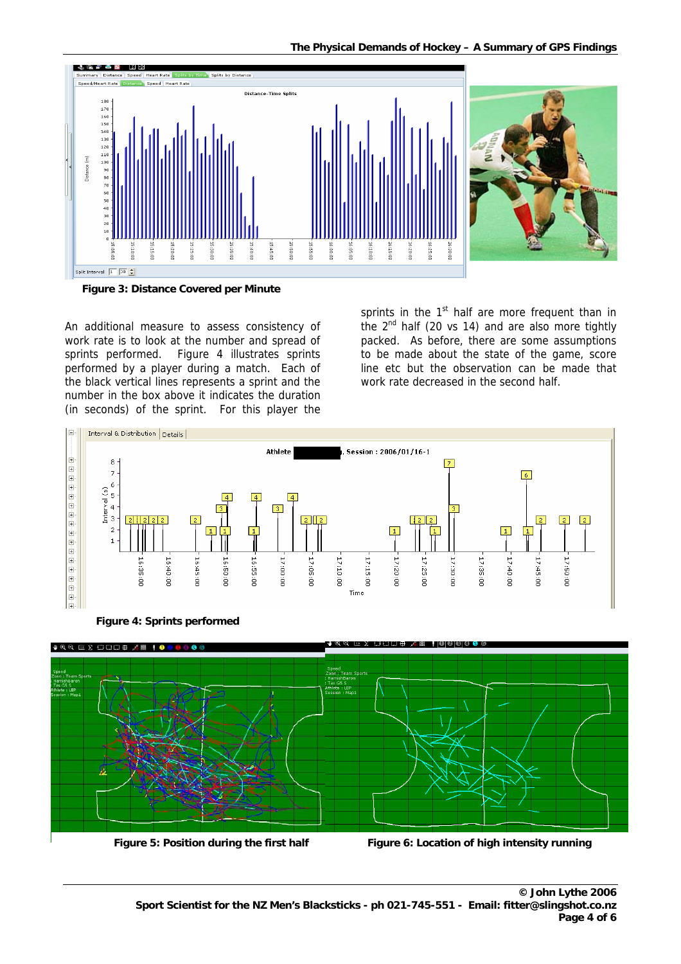

**Figure 3: Distance Covered per Minute** 

An additional measure to assess consistency of work rate is to look at the number and spread of sprints performed. Figure 4 illustrates sprints performed by a player during a match. Each of the black vertical lines represents a sprint and the number in the box above it indicates the duration (in seconds) of the sprint. For this player the

sprints in the 1<sup>st</sup> half are more frequent than in the 2<sup>nd</sup> half (20 vs 14) and are also more tightly packed. As before, there are some assumptions to be made about the state of the game, score line etc but the observation can be made that work rate decreased in the second half.



**Figure 4: Sprints performed** 



 **Figure 5: Position during the first half Figure 6: Location of high intensity running**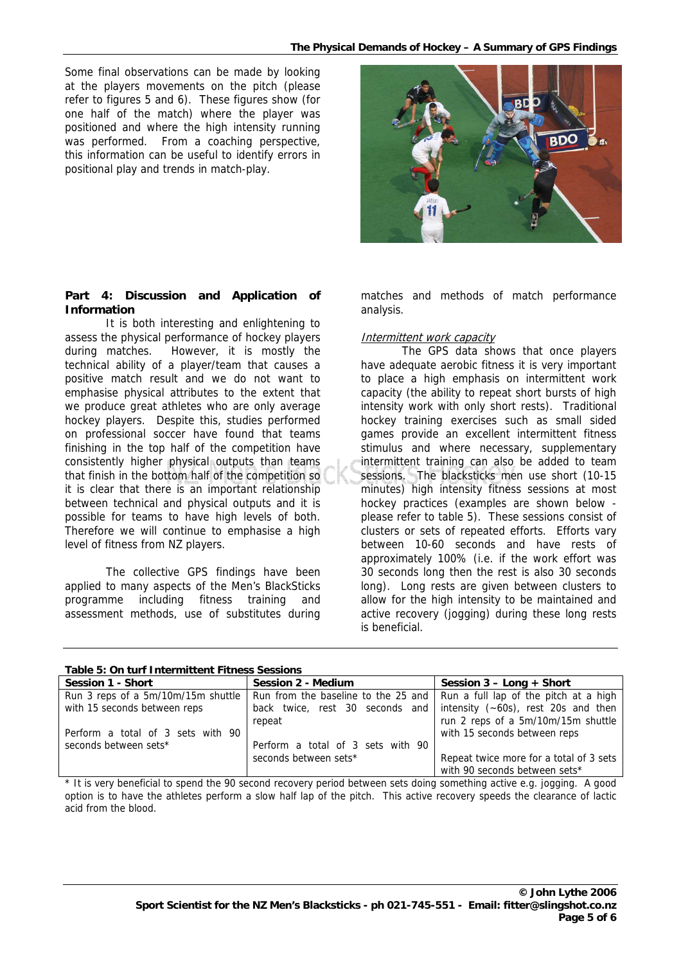Some final observations can be made by looking at the players movements on the pitch (please refer to figures 5 and 6). These figures show (for one half of the match) where the player was positioned and where the high intensity running was performed. From a coaching perspective, this information can be useful to identify errors in positional play and trends in match-play.

### Part 4: Discussion and Application of **Information**

It is both interesting and enlightening to assess t he physical performance of hockey players during matches. However, it is mostly the technical ability of a player/team that causes a positive match result and we do not want to emphasise physical attributes to the extent that we produce great athletes who are only average hockey players. Despite this, studies performed on professional soccer have found that teams finishing in the top half of the competition have consistently higher physical outputs than teams that finish in the bottom half of the competition so it is clear that there is an important relationship between technical and physical outputs and it is possible for teams to have high levels of both. Therefore we will continue to emphasise a high level of fitness from NZ players.

The collective GPS findings have been applied to many aspects of the Men's BlackSticks programme including fitness training and assessment methods, use of substitutes during

matches and methods of match performance analysis.

#### <u>Intermittent work capacity</u>

The GPS data shows that once players have ad equate aerobic fitness it is very important to place a high emphasis on intermittent work capacity (the ability to repeat short bursts of high intensity work with only short rests). Traditional hockey training exercises such as small sided games provide an excellent intermittent fitness stimulus and where necessary, supplementary intermittent training can also be added to team sessions. The blacksticks men use short (10-15 minutes) high intensity fitness sessions at most hockey practices (examples are shown below please refer to table 5). These sessions consist of clusters or sets of repeated efforts. Efforts vary between 10-60 seconds and have rests of approximately 100% (i.e. if the work effort was 30 seconds long then the rest is also 30 seconds long). Long rests are given between clusters to allow for the high intensity to be maintained and active recovery (jogging) during these long rests is beneficial.

#### **Table 5: On turf Intermittent Fitness Sessions**

| <b>Session 1 - Short</b>           | Session 2 - Medium                                                        | Session $3 -$ Long $+$ Short            |  |  |
|------------------------------------|---------------------------------------------------------------------------|-----------------------------------------|--|--|
| Run 3 reps of a 5m/10m/15m shuttle | Run from the baseline to the 25 and Run a full lap of the pitch at a high |                                         |  |  |
| with 15 seconds between reps       | back twice, rest 30 seconds and                                           | intensity $(-60s)$ , rest 20s and then  |  |  |
|                                    | repeat                                                                    | run 2 reps of a 5m/10m/15m shuttle      |  |  |
| Perform a total of 3 sets with 90  |                                                                           | with 15 seconds between reps            |  |  |
| seconds between sets*              | Perform a total of 3 sets with 90                                         |                                         |  |  |
|                                    | seconds between sets*                                                     | Repeat twice more for a total of 3 sets |  |  |
|                                    |                                                                           | with 90 seconds between sets*           |  |  |

\* It is very beneficial to spend the 90 second recovery period between sets doing something active e.g. jogging. A good option is to have the athletes perform a slow half lap of the pitch. This active recovery speeds the clearance of lactic acid from the blood.